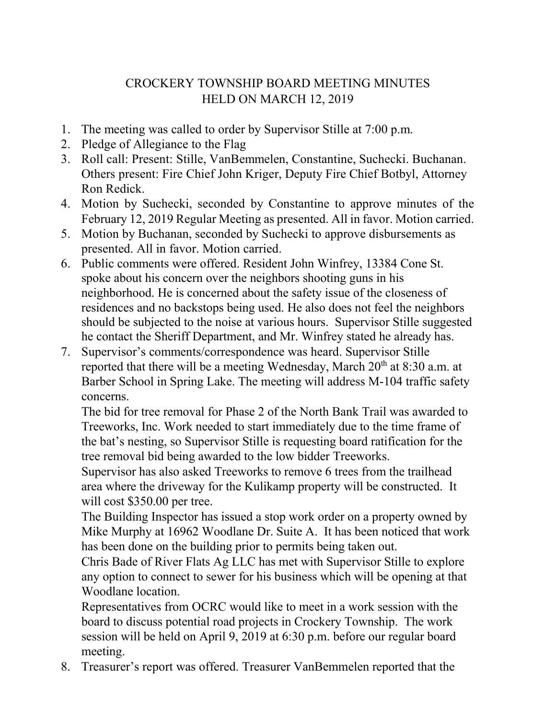## CROCKERY TOWNSHIP BOARD MEETING MINUTES HELD ON MARCH 12, 2019

- 1. The meeting was called to order by Supervisor Stille at 7:00 p.m.
- 2. Pledge of Allegiance to the Flag
- 3. Roll call: Present: Stille, VanBemmelen, Constantine, Suchecki. Buchanan. Others present: Fire Chief John Kriger, Deputy Fire Chief Botbyl, Attorney Ron Redick.
- 4. Motion by Suchecki, seconded by Constantine to approve minutes of the February 12, 2019 Regular Meeting as presented. All in favor. Motion carried.
- 5. Motion by Buchanan, seconded by Suchecki to approve disbursements as presented. All in favor. Motion carried.
- 6. Public comments were offered. Resident John Winfrey, 13384 Cone St. spoke about his concern over the neighbors shooting guns in his neighborhood. He is concerned about the safety issue of the closeness of residences and no backstops being used. He also does not feel the neighbors should be subjected to the noise at various hours. Supervisor Stille suggested he contact the Sheriff Department, and Mr. Winfrey stated he already has.
- 7. Supervisor's comments/correspondence was heard. Supervisor Stille reported that there will be a meeting Wednesday, March  $20<sup>th</sup>$  at 8:30 a.m. at Barber School in Spring Lake. The meeting will address M-104 traffic safety concerns.

The bid for tree removal for Phase 2 of the North Bank Trail was awarded to Treeworks, Inc. Work needed to start immediately due to the time frame of the bat's nesting, so Supervisor Stille is requesting board ratification for the tree removal bid being awarded to the low bidder Treeworks.

Supervisor has also asked Treeworks to remove 6 trees from the trailhead area where the driveway for the Kulikamp property will be constructed. It will cost \$350.00 per tree.

The Building Inspector has issued a stop work order on a property owned by Mike Murphy at 16962 Woodlane Dr. Suite A. It has been noticed that work has been done on the building prior to permits being taken out.

Chris Bade of River Flats Ag LLC has met with Supervisor Stille to explore any option to connect to sewer for his business which will be opening at that Woodlane location.

Representatives from OCRC would like to meet in a work session with the board to discuss potential road projects in Crockery Township. The work session will be held on April 9, 2019 at 6:30 p.m. before our regular board meeting.

8. Treasurer's report was offered. Treasurer VanBemmelen reported that the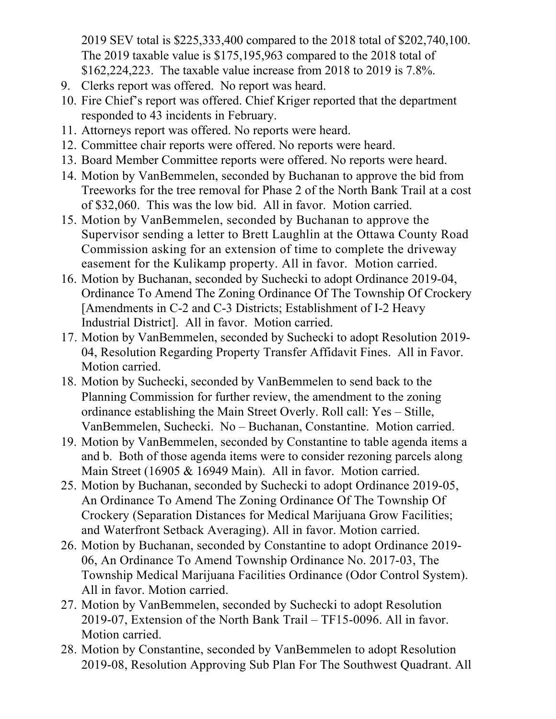2019 SEV total is \$225,333,400 compared to the 2018 total of \$202,740,100. The 2019 taxable value is \$175,195,963 compared to the 2018 total of \$162,224,223. The taxable value increase from 2018 to 2019 is 7.8%.

- 9. Clerks report was offered. No report was heard.
- 10. Fire Chief's report was offered. Chief Kriger reported that the department responded to 43 incidents in February.
- 11. Attorneys report was offered. No reports were heard.
- 12. Committee chair reports were offered. No reports were heard.
- 13. Board Member Committee reports were offered. No reports were heard.
- 14. Motion by VanBemmelen, seconded by Buchanan to approve the bid from Treeworks for the tree removal for Phase 2 of the North Bank Trail at a cost of \$32,060. This was the low bid. All in favor. Motion carried.
- 15. Motion by VanBemmelen, seconded by Buchanan to approve the Supervisor sending a letter to Brett Laughlin at the Ottawa County Road Commission asking for an extension of time to complete the driveway easement for the Kulikamp property. All in favor. Motion carried.
- 16. Motion by Buchanan, seconded by Suchecki to adopt Ordinance 2019-04, Ordinance To Amend The Zoning Ordinance Of The Township Of Crockery [Amendments in C-2 and C-3 Districts; Establishment of I-2 Heavy Industrial District]. All in favor. Motion carried.
- 17. Motion by VanBemmelen, seconded by Suchecki to adopt Resolution 2019- 04, Resolution Regarding Property Transfer Affidavit Fines. All in Favor. Motion carried.
- 18. Motion by Suchecki, seconded by VanBemmelen to send back to the Planning Commission for further review, the amendment to the zoning ordinance establishing the Main Street Overly. Roll call: Yes – Stille, VanBemmelen, Suchecki. No – Buchanan, Constantine. Motion carried.
- 19. Motion by VanBemmelen, seconded by Constantine to table agenda items a and b. Both of those agenda items were to consider rezoning parcels along Main Street (16905 & 16949 Main). All in favor. Motion carried.
- 25. Motion by Buchanan, seconded by Suchecki to adopt Ordinance 2019-05, An Ordinance To Amend The Zoning Ordinance Of The Township Of Crockery (Separation Distances for Medical Marijuana Grow Facilities; and Waterfront Setback Averaging). All in favor. Motion carried.
- 26. Motion by Buchanan, seconded by Constantine to adopt Ordinance 2019- 06, An Ordinance To Amend Township Ordinance No. 2017-03, The Township Medical Marijuana Facilities Ordinance (Odor Control System). All in favor. Motion carried.
- 27. Motion by VanBemmelen, seconded by Suchecki to adopt Resolution 2019-07, Extension of the North Bank Trail – TF15-0096. All in favor. Motion carried.
- 28. Motion by Constantine, seconded by VanBemmelen to adopt Resolution 2019-08, Resolution Approving Sub Plan For The Southwest Quadrant. All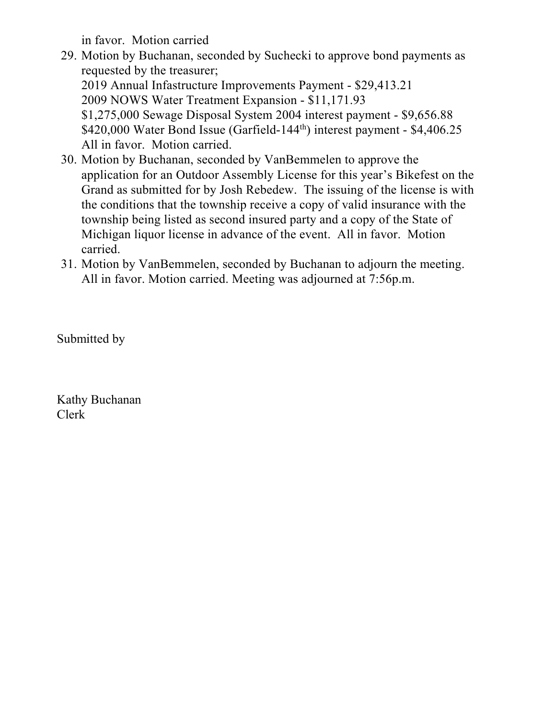in favor. Motion carried

- 29. Motion by Buchanan, seconded by Suchecki to approve bond payments as requested by the treasurer; 2019 Annual Infastructure Improvements Payment - \$29,413.21 2009 NOWS Water Treatment Expansion - \$11,171.93 \$1,275,000 Sewage Disposal System 2004 interest payment - \$9,656.88 \$420,000 Water Bond Issue (Garfield-144<sup>th</sup>) interest payment - \$4,406.25 All in favor. Motion carried.
- 30. Motion by Buchanan, seconded by VanBemmelen to approve the application for an Outdoor Assembly License for this year's Bikefest on the Grand as submitted for by Josh Rebedew. The issuing of the license is with the conditions that the township receive a copy of valid insurance with the township being listed as second insured party and a copy of the State of Michigan liquor license in advance of the event. All in favor. Motion carried.
- 31. Motion by VanBemmelen, seconded by Buchanan to adjourn the meeting. All in favor. Motion carried. Meeting was adjourned at 7:56p.m.

Submitted by

Kathy Buchanan Clerk